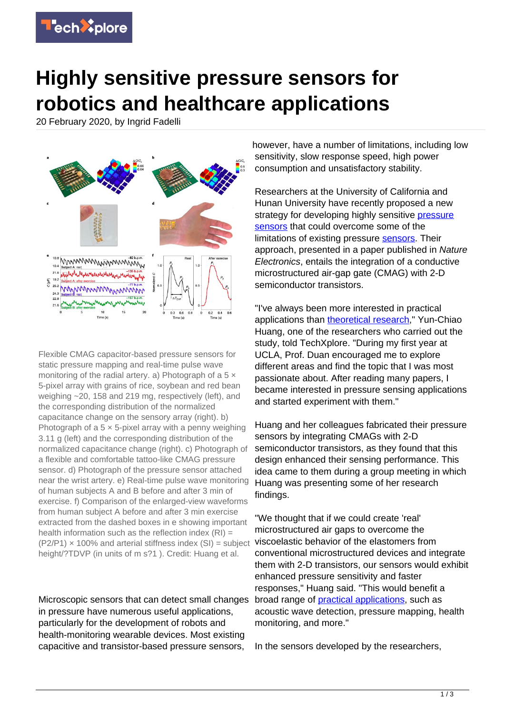

## **Highly sensitive pressure sensors for robotics and healthcare applications**

20 February 2020, by Ingrid Fadelli



Flexible CMAG capacitor-based pressure sensors for static pressure mapping and real-time pulse wave monitoring of the radial artery. a) Photograph of a  $5 \times$ 5-pixel array with grains of rice, soybean and red bean weighing ~20, 158 and 219 mg, respectively (left), and the corresponding distribution of the normalized capacitance change on the sensory array (right). b) Photograph of a  $5 \times 5$ -pixel array with a penny weighing 3.11 g (left) and the corresponding distribution of the normalized capacitance change (right). c) Photograph of a flexible and comfortable tattoo-like CMAG pressure sensor. d) Photograph of the pressure sensor attached near the wrist artery. e) Real-time pulse wave monitoring of human subjects A and B before and after 3 min of exercise. f) Comparison of the enlarged-view waveforms from human subject A before and after 3 min exercise extracted from the dashed boxes in e showing important health information such as the reflection index  $(RI)$  =  $(P2/P1) \times 100\%$  and arterial stiffness index  $(SI)$  = subject height/?TDVP (in units of m s?1). Credit: Huang et al.

Microscopic sensors that can detect small changes in pressure have numerous useful applications, particularly for the development of robots and health-monitoring wearable devices. Most existing capacitive and transistor-based pressure sensors,

however, have a number of limitations, including low sensitivity, slow response speed, high power consumption and unsatisfactory stability.

Researchers at the University of California and Hunan University have recently proposed a new strategy for developing highly sensitive [pressure](https://techxplore.com/tags/pressure+sensors/) [sensors](https://techxplore.com/tags/pressure+sensors/) that could overcome some of the limitations of existing pressure [sensors](https://techxplore.com/tags/sensors/). Their approach, presented in a paper published in Nature Electronics, entails the integration of a conductive microstructured air-gap gate (CMAG) with 2-D semiconductor transistors.

"I've always been more interested in practical applications than [theoretical research,](https://techxplore.com/tags/theoretical+research/)" Yun-Chiao Huang, one of the researchers who carried out the study, told TechXplore. "During my first year at UCLA, Prof. Duan encouraged me to explore different areas and find the topic that I was most passionate about. After reading many papers, I became interested in pressure sensing applications and started experiment with them."

Huang and her colleagues fabricated their pressure sensors by integrating CMAGs with 2-D semiconductor transistors, as they found that this design enhanced their sensing performance. This idea came to them during a group meeting in which Huang was presenting some of her research findings.

"We thought that if we could create 'real' microstructured air gaps to overcome the viscoelastic behavior of the elastomers from conventional microstructured devices and integrate them with 2-D transistors, our sensors would exhibit enhanced pressure sensitivity and faster responses," Huang said. "This would benefit a broad range of [practical applications](https://techxplore.com/tags/practical+applications/), such as acoustic wave detection, pressure mapping, health monitoring, and more."

In the sensors developed by the researchers,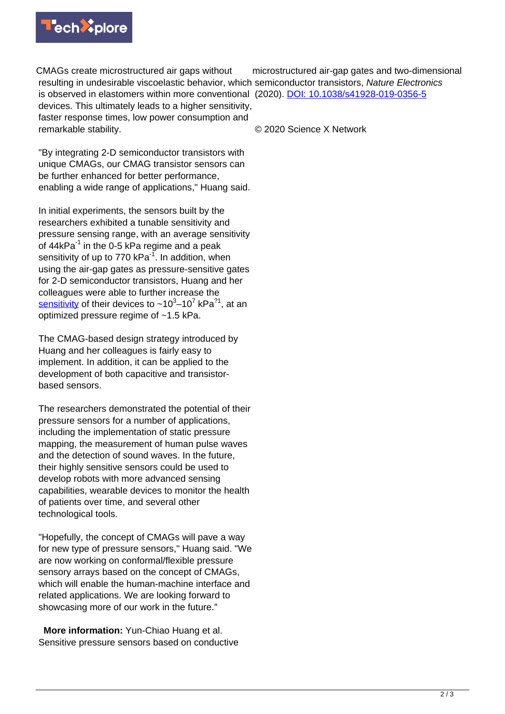

CMAGs create microstructured air gaps without resulting in undesirable viscoelastic behavior, which semiconductor transistors, Nature Electronics is observed in elastomers within more conventional (2020). [DOI: 10.1038/s41928-019-0356-5](http://dx.doi.org/10.1038/s41928-019-0356-5) devices. This ultimately leads to a higher sensitivity, faster response times, low power consumption and remarkable stability.

"By integrating 2-D semiconductor transistors with unique CMAGs, our CMAG transistor sensors can be further enhanced for better performance, enabling a wide range of applications," Huang said.

In initial experiments, the sensors built by the researchers exhibited a tunable sensitivity and pressure sensing range, with an average sensitivity of  $44kPa^{-1}$  in the 0-5 kPa regime and a peak sensitivity of up to 770  $kPa^{-1}$ . In addition, when using the air-gap gates as pressure-sensitive gates for 2-D semiconductor transistors, Huang and her colleagues were able to further increase the <u>[sensitivity](https://techxplore.com/tags/sensitivity/)</u> of their devices to ~10<sup>3</sup>–10<sup>7</sup> kPa<sup>?1</sup>, at an optimized pressure regime of ~1.5 kPa.

The CMAG-based design strategy introduced by Huang and her colleagues is fairly easy to implement. In addition, it can be applied to the development of both capacitive and transistorbased sensors.

The researchers demonstrated the potential of their pressure sensors for a number of applications, including the implementation of static pressure mapping, the measurement of human pulse waves and the detection of sound waves. In the future, their highly sensitive sensors could be used to develop robots with more advanced sensing capabilities, wearable devices to monitor the health of patients over time, and several other technological tools.

"Hopefully, the concept of CMAGs will pave a way for new type of pressure sensors," Huang said. "We are now working on conformal/flexible pressure sensory arrays based on the concept of CMAGs, which will enable the human-machine interface and related applications. We are looking forward to showcasing more of our work in the future."

 **More information:** Yun-Chiao Huang et al. Sensitive pressure sensors based on conductive microstructured air-gap gates and two-dimensional

© 2020 Science X Network